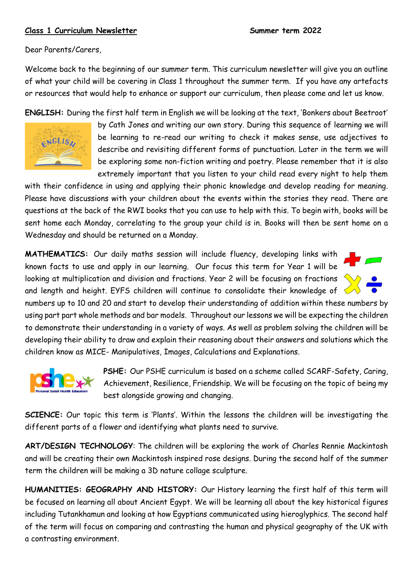## **Class 1 Curriculum Newsletter Summer term 2022**

Dear Parents/Carers,

Welcome back to the beginning of our summer term. This curriculum newsletter will give you an outline of what your child will be covering in Class 1 throughout the summer term. If you have any artefacts or resources that would help to enhance or support our curriculum, then please come and let us know.

**ENGLISH:** During the first half term in English we will be looking at the text, 'Bonkers about Beetroot'



by Cath Jones and writing our own story. During this sequence of learning we will be learning to re-read our writing to check it makes sense, use adjectives to describe and revisiting different forms of punctuation. Later in the term we will be exploring some non-fiction writing and poetry. Please remember that it is also extremely important that you listen to your child read every night to help them

with their confidence in using and applying their phonic knowledge and develop reading for meaning. Please have discussions with your children about the events within the stories they read. There are questions at the back of the RWI books that you can use to help with this. To begin with, books will be sent home each Monday, correlating to the group your child is in. Books will then be sent home on a Wednesday and should be returned on a Monday.

**MATHEMATICS:** Our daily maths session will include fluency, developing links with known facts to use and apply in our learning. Our focus this term for Year 1 will be looking at multiplication and division and fractions. Year 2 will be focusing on fractions and length and height. EYFS children will continue to consolidate their knowledge of  $\leq$ 

numbers up to 10 and 20 and start to develop their understanding of addition within these numbers by using part part whole methods and bar models. Throughout our lessons we will be expecting the children to demonstrate their understanding in a variety of ways. As well as problem solving the children will be developing their ability to draw and explain their reasoning about their answers and solutions which the children know as MICE- Manipulatives, Images, Calculations and Explanations.



**PSHE:** Our PSHE curriculum is based on a scheme called SCARF-Safety, Caring, Achievement, Resilience, Friendship. We will be focusing on the topic of being my best alongside growing and changing.

**SCIENCE:** Our topic this term is 'Plants'. Within the lessons the children will be investigating the different parts of a flower and identifying what plants need to survive.

**ART/DESIGN TECHNOLOGY**: The children will be exploring the work of Charles Rennie Mackintosh and will be creating their own Mackintosh inspired rose designs. During the second half of the summer term the children will be making a 3D nature collage sculpture.

**HUMANITIES: GEOGRAPHY AND HISTORY:** Our History learning the first half of this term will be focused on learning all about Ancient Egypt. We will be learning all about the key historical figures including Tutankhamun and looking at how Egyptians communicated using hieroglyphics. The second half of the term will focus on comparing and contrasting the human and physical geography of the UK with a contrasting environment.